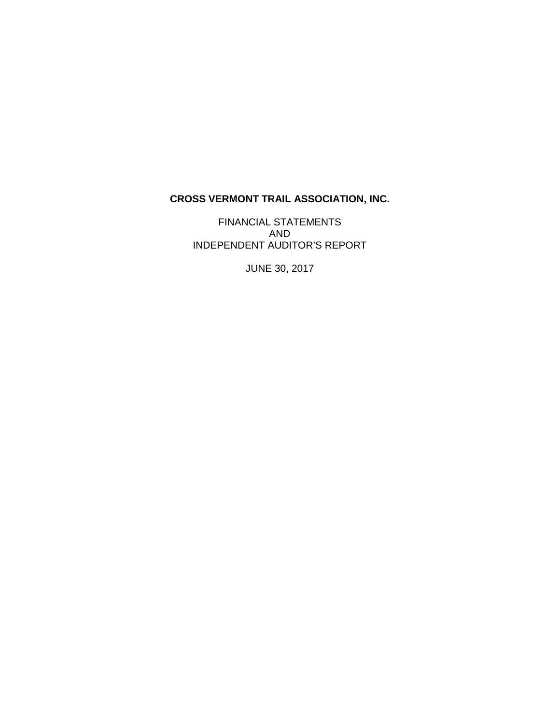# **CROSS VERMONT TRAIL ASSOCIATION, INC.**

FINANCIAL STATEMENTS AND INDEPENDENT AUDITOR'S REPORT

JUNE 30, 2017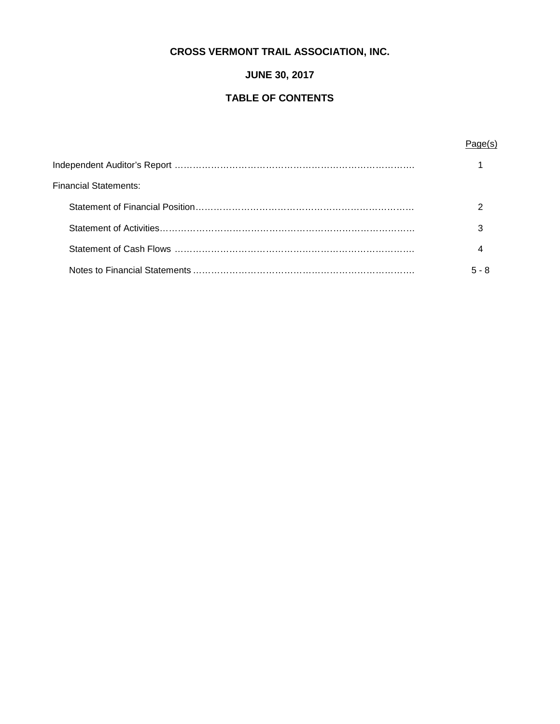# **CROSS VERMONT TRAIL ASSOCIATION, INC.**

# **JUNE 30, 2017**

# **TABLE OF CONTENTS**

# Page(s)

| Financial Statements: |       |
|-----------------------|-------|
|                       |       |
|                       |       |
|                       |       |
|                       | 5 - 8 |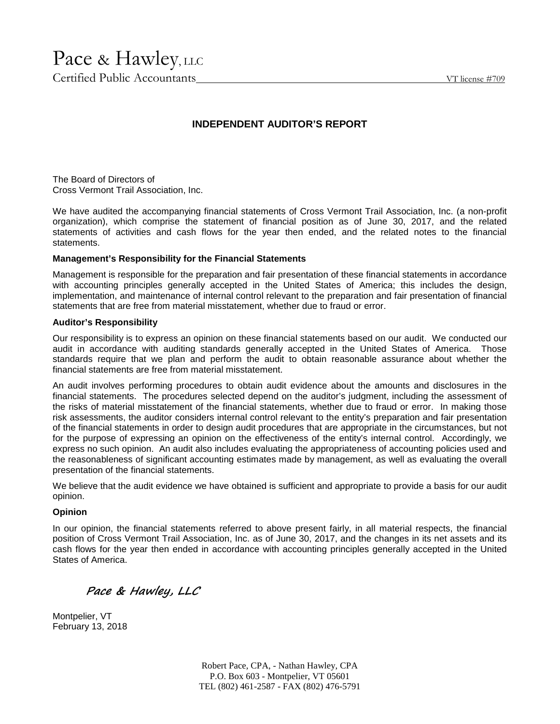# Pace & Hawley, LLC

Certified Public Accountants VT license #709

# **INDEPENDENT AUDITOR'S REPORT**

The Board of Directors of Cross Vermont Trail Association, Inc.

We have audited the accompanying financial statements of Cross Vermont Trail Association, Inc. (a non-profit organization), which comprise the statement of financial position as of June 30, 2017, and the related statements of activities and cash flows for the year then ended, and the related notes to the financial statements.

## **Management's Responsibility for the Financial Statements**

Management is responsible for the preparation and fair presentation of these financial statements in accordance with accounting principles generally accepted in the United States of America; this includes the design, implementation, and maintenance of internal control relevant to the preparation and fair presentation of financial statements that are free from material misstatement, whether due to fraud or error.

## **Auditor's Responsibility**

Our responsibility is to express an opinion on these financial statements based on our audit. We conducted our audit in accordance with auditing standards generally accepted in the United States of America. Those standards require that we plan and perform the audit to obtain reasonable assurance about whether the financial statements are free from material misstatement.

An audit involves performing procedures to obtain audit evidence about the amounts and disclosures in the financial statements. The procedures selected depend on the auditor's judgment, including the assessment of the risks of material misstatement of the financial statements, whether due to fraud or error. In making those risk assessments, the auditor considers internal control relevant to the entity's preparation and fair presentation of the financial statements in order to design audit procedures that are appropriate in the circumstances, but not for the purpose of expressing an opinion on the effectiveness of the entity's internal control. Accordingly, we express no such opinion. An audit also includes evaluating the appropriateness of accounting policies used and the reasonableness of significant accounting estimates made by management, as well as evaluating the overall presentation of the financial statements.

We believe that the audit evidence we have obtained is sufficient and appropriate to provide a basis for our audit opinion.

## **Opinion**

In our opinion, the financial statements referred to above present fairly, in all material respects, the financial position of Cross Vermont Trail Association, Inc. as of June 30, 2017, and the changes in its net assets and its cash flows for the year then ended in accordance with accounting principles generally accepted in the United States of America.

*Pace & Hawley, LLC*

Montpelier, VT February 13, 2018

> Robert Pace, CPA, - Nathan Hawley, CPA P.O. Box 603 - Montpelier, VT 05601 TEL (802) 461-2587 - FAX (802) 476-5791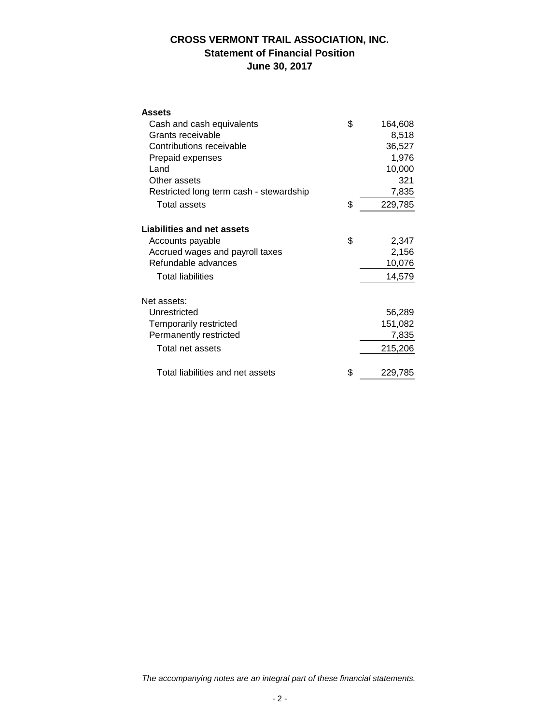# **CROSS VERMONT TRAIL ASSOCIATION, INC. Statement of Financial Position June 30, 2017**

| <b>Assets</b>                           |               |  |
|-----------------------------------------|---------------|--|
| Cash and cash equivalents               | \$<br>164,608 |  |
| Grants receivable                       | 8,518         |  |
| Contributions receivable                | 36,527        |  |
| Prepaid expenses                        | 1,976         |  |
| Land                                    | 10,000        |  |
| Other assets                            | 321           |  |
| Restricted long term cash - stewardship | 7,835         |  |
| Total assets                            | \$<br>229,785 |  |
| <b>Liabilities and net assets</b>       |               |  |
| Accounts payable                        | \$<br>2,347   |  |
| Accrued wages and payroll taxes         | 2,156         |  |
| Refundable advances                     | 10,076        |  |
| <b>Total liabilities</b>                | 14,579        |  |
| Net assets:                             |               |  |
| Unrestricted                            | 56,289        |  |
| Temporarily restricted                  | 151,082       |  |
| Permanently restricted                  | 7,835         |  |
| Total net assets                        | 215,206       |  |
| Total liabilities and net assets        | \$<br>229,785 |  |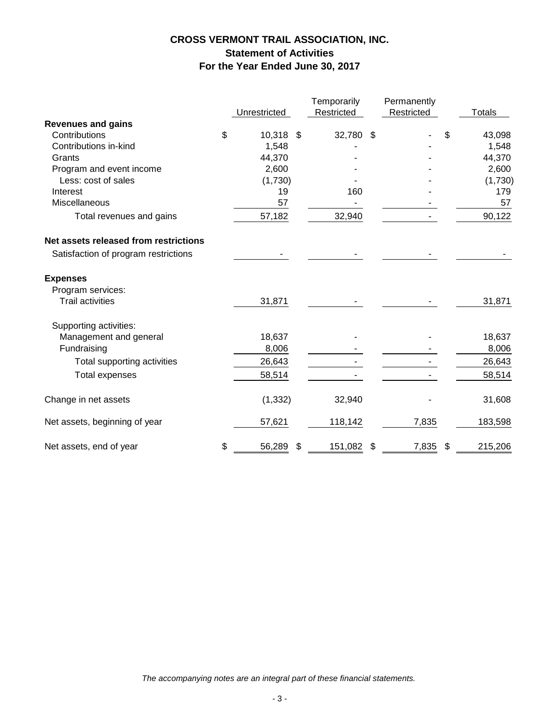# **CROSS VERMONT TRAIL ASSOCIATION, INC. Statement of Activities For the Year Ended June 30, 2017**

|                                       |                 | Temporarily   | Permanently |                |         |
|---------------------------------------|-----------------|---------------|-------------|----------------|---------|
|                                       | Unrestricted    | Restricted    | Restricted  |                | Totals  |
| <b>Revenues and gains</b>             |                 |               |             |                |         |
| Contributions                         | \$<br>10,318 \$ | 32,780 \$     |             | \$             | 43,098  |
| Contributions in-kind                 | 1,548           |               |             |                | 1,548   |
| Grants                                | 44,370          |               |             |                | 44,370  |
| Program and event income              | 2,600           |               |             |                | 2,600   |
| Less: cost of sales                   | (1,730)         |               |             |                | (1,730) |
| Interest                              | 19              | 160           |             |                | 179     |
| Miscellaneous                         | 57              |               |             |                | 57      |
| Total revenues and gains              | 57,182          | 32,940        |             |                | 90,122  |
| Net assets released from restrictions |                 |               |             |                |         |
| Satisfaction of program restrictions  |                 |               |             |                |         |
| <b>Expenses</b>                       |                 |               |             |                |         |
| Program services:                     |                 |               |             |                |         |
| <b>Trail activities</b>               | 31,871          |               |             |                | 31,871  |
| Supporting activities:                |                 |               |             |                |         |
| Management and general                | 18,637          |               |             |                | 18,637  |
| Fundraising                           | 8,006           |               |             |                | 8,006   |
| Total supporting activities           | 26,643          |               |             |                | 26,643  |
| <b>Total expenses</b>                 | 58,514          |               |             |                | 58,514  |
| Change in net assets                  | (1, 332)        | 32,940        |             |                | 31,608  |
| Net assets, beginning of year         | 57,621          | 118,142       | 7,835       |                | 183,598 |
| Net assets, end of year               | \$<br>56,289    | \$<br>151,082 | \$<br>7,835 | $\mathfrak{F}$ | 215,206 |

*The accompanying notes are an integral part of these financial statements.*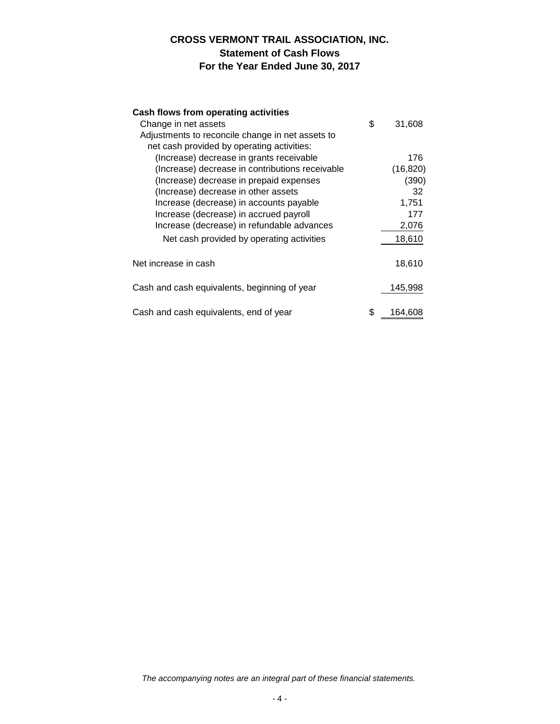# **CROSS VERMONT TRAIL ASSOCIATION, INC. Statement of Cash Flows For the Year Ended June 30, 2017**

# **Cash flows from operating activities**

| Change in net assets                             | \$<br>31,608  |  |
|--------------------------------------------------|---------------|--|
| Adjustments to reconcile change in net assets to |               |  |
| net cash provided by operating activities:       |               |  |
| (Increase) decrease in grants receivable         | 176           |  |
| (Increase) decrease in contributions receivable  | (16, 820)     |  |
| (Increase) decrease in prepaid expenses          | (390)         |  |
| (Increase) decrease in other assets              | 32            |  |
| Increase (decrease) in accounts payable          | 1.751         |  |
| Increase (decrease) in accrued payroll           | 177           |  |
| Increase (decrease) in refundable advances       | 2,076         |  |
| Net cash provided by operating activities        | 18,610        |  |
|                                                  |               |  |
| Net increase in cash                             | 18,610        |  |
| Cash and cash equivalents, beginning of year     | 145,998       |  |
| Cash and cash equivalents, end of year           | \$<br>164,608 |  |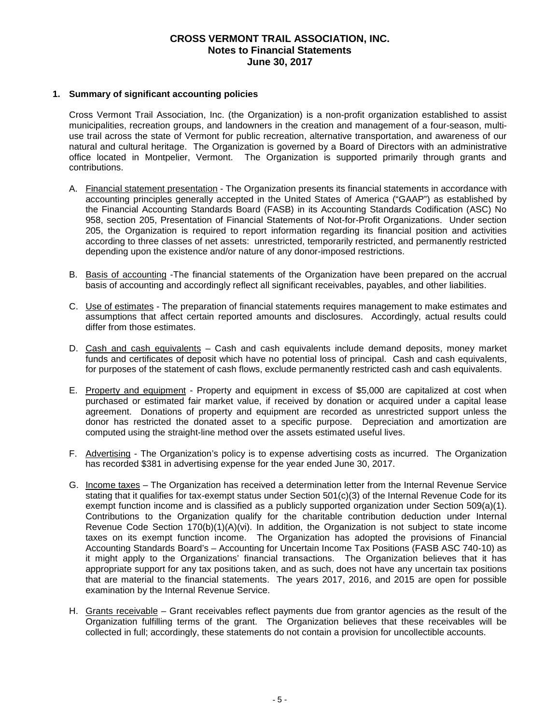#### **1. Summary of significant accounting policies**

Cross Vermont Trail Association, Inc. (the Organization) is a non-profit organization established to assist municipalities, recreation groups, and landowners in the creation and management of a four-season, multi use trail across the state of Vermont for public recreation, alternative transportation, and awareness of our natural and cultural heritage. The Organization is governed by a Board of Directors with an administrative office located in Montpelier, Vermont. The Organization is supported primarily through grants and contributions.

- A. Financial statement presentation The Organization presents its financial statements in accordance with accounting principles generally accepted in the United States of America ("GAAP") as established by the Financial Accounting Standards Board (FASB) in its Accounting Standards Codification (ASC) No 958, section 205, Presentation of Financial Statements of Not-for-Profit Organizations. Under section 205, the Organization is required to report information regarding its financial position and activities according to three classes of net assets: unrestricted, temporarily restricted, and permanently restricted depending upon the existence and/or nature of any donor-imposed restrictions.
- B. Basis of accounting -The financial statements of the Organization have been prepared on the accrual basis of accounting and accordingly reflect all significant receivables, payables, and other liabilities.
- C. Use of estimates The preparation of financial statements requires management to make estimates and assumptions that affect certain reported amounts and disclosures. Accordingly, actual results could differ from those estimates.
- D. Cash and cash equivalents Cash and cash equivalents include demand deposits, money market funds and certificates of deposit which have no potential loss of principal. Cash and cash equivalents, for purposes of the statement of cash flows, exclude permanently restricted cash and cash equivalents.
- E. Property and equipment Property and equipment in excess of \$5,000 are capitalized at cost when purchased or estimated fair market value, if received by donation or acquired under a capital lease agreement. Donations of property and equipment are recorded as unrestricted support unless the donor has restricted the donated asset to a specific purpose. Depreciation and amortization are computed using the straight-line method over the assets estimated useful lives.
- F. Advertising The Organization's policy is to expense advertising costs as incurred. The Organization has recorded \$381 in advertising expense for the year ended June 30, 2017.
- G. Income taxes The Organization has received a determination letter from the Internal Revenue Service stating that it qualifies for tax-exempt status under Section 501(c)(3) of the Internal Revenue Code for its exempt function income and is classified as a publicly supported organization under Section 509(a)(1). Contributions to the Organization qualify for the charitable contribution deduction under Internal Revenue Code Section  $170(b)(1)(A)(vi)$ . In addition, the Organization is not subject to state income taxes on its exempt function income. The Organization has adopted the provisions of Financial Accounting Standards Board's – Accounting for Uncertain Income Tax Positions (FASB ASC 740-10) as it might apply to the Organizations' financial transactions. The Organization believes that it has appropriate support for any tax positions taken, and as such, does not have any uncertain tax positions that are material to the financial statements. The years 2017, 2016, and 2015 are open for possible examination by the Internal Revenue Service.
- H. Grants receivable Grant receivables reflect payments due from grantor agencies as the result of the Organization fulfilling terms of the grant. The Organization believes that these receivables will be collected in full; accordingly, these statements do not contain a provision for uncollectible accounts.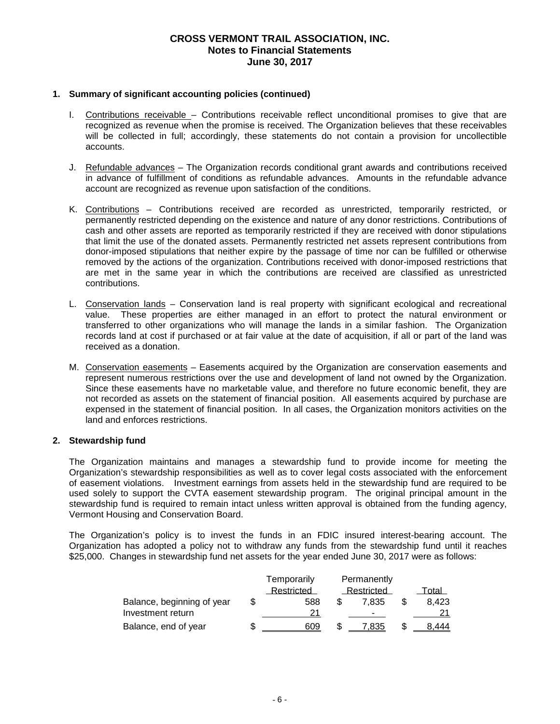#### **1. Summary of significant accounting policies (continued)**

- I. Contributions receivable Contributions receivable reflect unconditional promises to give that are recognized as revenue when the promise is received. The Organization believes that these receivables will be collected in full; accordingly, these statements do not contain a provision for uncollectible accounts.
- J. Refundable advances The Organization records conditional grant awards and contributions received in advance of fulfillment of conditions as refundable advances. Amounts in the refundable advance account are recognized as revenue upon satisfaction of the conditions.
- K. Contributions Contributions received are recorded as unrestricted, temporarily restricted, or permanently restricted depending on the existence and nature of any donor restrictions. Contributions of cash and other assets are reported as temporarily restricted if they are received with donor stipulations that limit the use of the donated assets. Permanently restricted net assets represent contributions from donor-imposed stipulations that neither expire by the passage of time nor can be fulfilled or otherwise removed by the actions of the organization. Contributions received with donor-imposed restrictions that are met in the same year in which the contributions are received are classified as unrestricted contributions.
- L. Conservation lands Conservation land is real property with significant ecological and recreational value. These properties are either managed in an effort to protect the natural environment or transferred to other organizations who will manage the lands in a similar fashion. The Organization records land at cost if purchased or at fair value at the date of acquisition, if all or part of the land was received as a donation.
- M. Conservation easements Easements acquired by the Organization are conservation easements and represent numerous restrictions over the use and development of land not owned by the Organization. Since these easements have no marketable value, and therefore no future economic benefit, they are not recorded as assets on the statement of financial position. All easements acquired by purchase are expensed in the statement of financial position. In all cases, the Organization monitors activities on the land and enforces restrictions.

#### **2. Stewardship fund**

The Organization maintains and manages a stewardship fund to provide income for meeting the Organization's stewardship responsibilities as well as to cover legal costs associated with the enforcement of easement violations. Investment earnings from assets held in the stewardship fund are required to be used solely to support the CVTA easement stewardship program. The original principal amount in the stewardship fund is required to remain intact unless written approval is obtained from the funding agency, Vermont Housing and Conservation Board.

The Organization's policy is to invest the funds in an FDIC insured interest-bearing account. The Organization has adopted a policy not to withdraw any funds from the stewardship fund until it reaches \$25,000. Changes in stewardship fund net assets for the year ended June 30, 2017 were as follows:

|                            | Temporarily | Permanently |            |       |
|----------------------------|-------------|-------------|------------|-------|
|                            | Restricted  |             | Restricted | Total |
| Balance, beginning of year | 588         |             | 7.835      | 8.423 |
| Investment return          | 21          |             |            |       |
| Balance, end of year       | 609         | S           | .835       | 8.444 |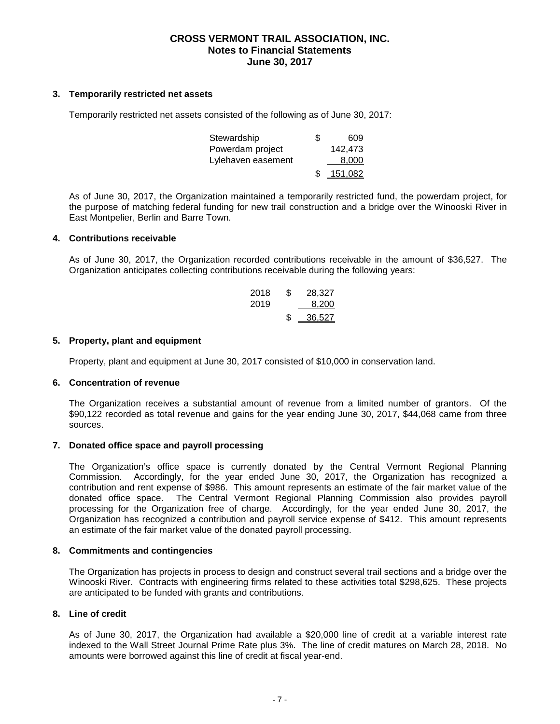#### **3. Temporarily restricted net assets**

Temporarily restricted net assets consisted of the following as of June 30, 2017:

| Stewardship        | S | 609             |  |
|--------------------|---|-----------------|--|
| Powerdam project   |   | 142.473         |  |
| Lylehaven easement |   | 8.000           |  |
|                    |   | <u>_151,082</u> |  |

As of June 30, 2017, the Organization maintained a temporarily restricted fund, the powerdam project, for the purpose of matching federal funding for new trail construction and a bridge over the Winooski River in East Montpelier, Berlin and Barre Town.

#### **4. Contributions receivable**

As of June 30, 2017, the Organization recorded contributions receivable in the amount of \$36,527. The Organization anticipates collecting contributions receivable during the following years:

| 2018 | \$ | 28,327   |  |
|------|----|----------|--|
| 2019 |    | 8.200    |  |
|      | S  | - 36,527 |  |

#### **5. Property, plant and equipment**

Property, plant and equipment at June 30, 2017 consisted of \$10,000 in conservation land.

#### **6. Concentration of revenue**

The Organization receives a substantial amount of revenue from a limited number of grantors. Of the \$90,122 recorded as total revenue and gains for the year ending June 30, 2017, \$44,068 came from three sources.

#### **7. Donated office space and payroll processing**

The Organization's office space is currently donated by the Central Vermont Regional Planning Commission. Accordingly, for the year ended June 30, 2017, the Organization has recognized a contribution and rent expense of \$986. This amount represents an estimate of the fair market value of the donated office space. The Central Vermont Regional Planning Commission also provides payroll processing for the Organization free of charge. Accordingly, for the year ended June 30, 2017, the Organization has recognized a contribution and payroll service expense of \$412. This amount represents an estimate of the fair market value of the donated payroll processing.

#### **8. Commitments and contingencies**

The Organization has projects in process to design and construct several trail sections and a bridge over the Winooski River. Contracts with engineering firms related to these activities total \$298,625. These projects are anticipated to be funded with grants and contributions.

## **8. Line of credit**

As of June 30, 2017, the Organization had available a \$20,000 line of credit at a variable interest rate indexed to the Wall Street Journal Prime Rate plus 3%. The line of credit matures on March 28, 2018. No amounts were borrowed against this line of credit at fiscal year-end.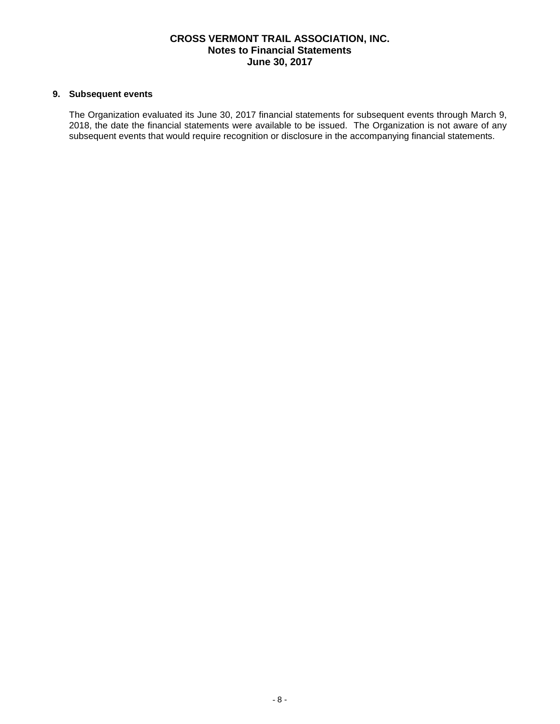## **9. Subsequent events**

The Organization evaluated its June 30, 2017 financial statements for subsequent events through March 9, 2018, the date the financial statements were available to be issued. The Organization is not aware of any subsequent events that would require recognition or disclosure in the accompanying financial statements.